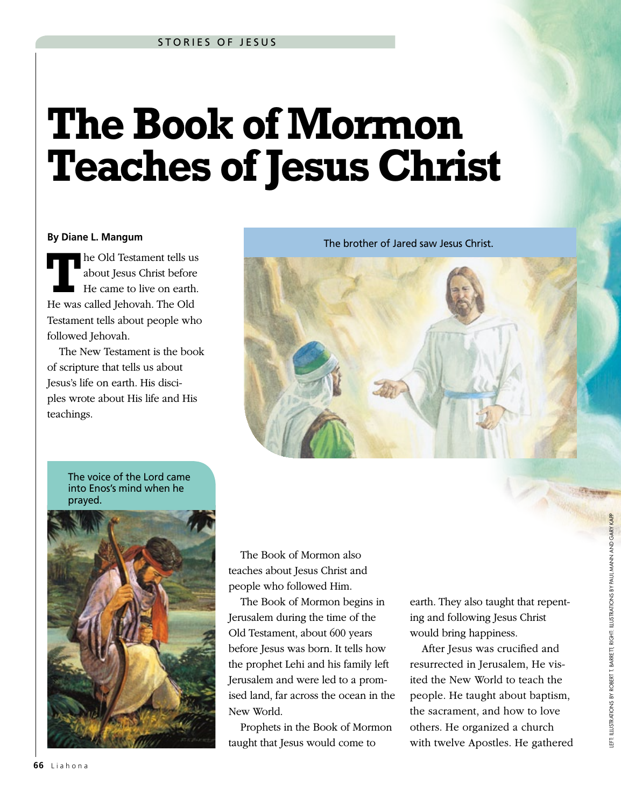## **The Book of Mormon Teaches of Jesus Christ**

## **By Diane L. Mangum**

**T**he Old Testament tells us about Jesus Christ before He came to live on earth. He was called Jehovah. The Old Testament tells about people who followed Jehovah.

The New Testament is the book of scripture that tells us about Jesus's life on earth. His disciples wrote about His life and His teachings.

The brother of Jared saw Jesus Christ.



The voice of the Lord came into Enos's mind when he prayed.



The Book of Mormon also teaches about Jesus Christ and people who followed Him.

The Book of Mormon begins in Jerusalem during the time of the Old Testament, about 600 years before Jesus was born. It tells how the prophet Lehi and his family left Jerusalem and were led to a promised land, far across the ocean in the New World.

Prophets in the Book of Mormon taught that Jesus would come to

earth. They also taught that repenting and following Jesus Christ would bring happiness.

After Jesus was crucified and resurrected in Jerusalem, He visited the New World to teach the people. He taught about baptism, the sacrament, and how to love others. He organized a church with twelve Apostles. He gathered